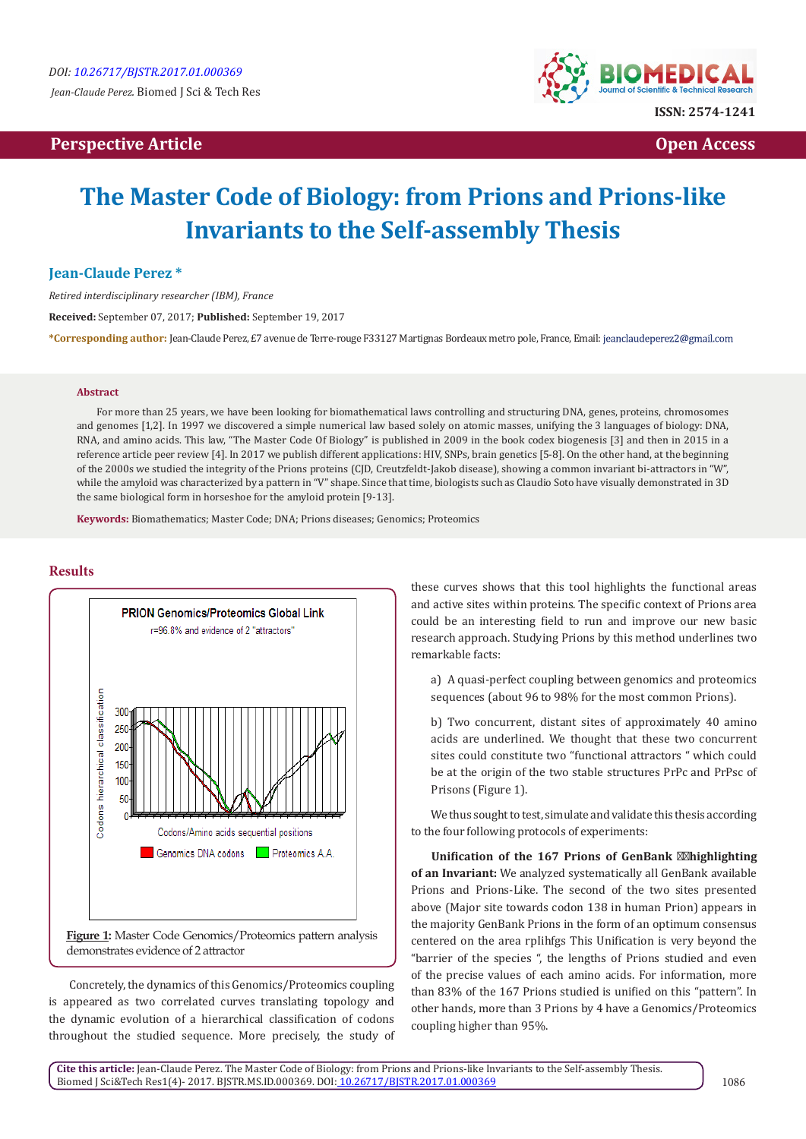## **Perspective Article Open Access**



# **The Master Code of Biology: from Prions and Prions-like Invariants to the Self-assembly Thesis**

#### **Jean-Claude Perez \***

*Retired interdisciplinary researcher (IBM), France*

**Received:** September 07, 2017; **Published:** September 19, 2017

**\*Corresponding author:** Jean-Claude Perez, £7 avenue de Terre-rouge F33127 Martignas Bordeaux metro pole, France, Email:

#### **Abstract**

For more than 25 years, we have been looking for biomathematical laws controlling and structuring DNA, genes, proteins, chromosomes and genomes [1,2]. In 1997 we discovered a simple numerical law based solely on atomic masses, unifying the 3 languages of biology: DNA, RNA, and amino acids. This law, "The Master Code Of Biology" is published in 2009 in the book codex biogenesis [3] and then in 2015 in a reference article peer review [4]. In 2017 we publish different applications: HIV, SNPs, brain genetics [5-8]. On the other hand, at the beginning of the 2000s we studied the integrity of the Prions proteins (CJD, Creutzfeldt-Jakob disease), showing a common invariant bi-attractors in "W", while the amyloid was characterized by a pattern in "V" shape. Since that time, biologists such as Claudio Soto have visually demonstrated in 3D the same biological form in horseshoe for the amyloid protein [9-13].

**Keywords:** Biomathematics; Master Code; DNA; Prions diseases; Genomics; Proteomics

### **Results**



Concretely, the dynamics of this Genomics/Proteomics coupling is appeared as two correlated curves translating topology and the dynamic evolution of a hierarchical classification of codons throughout the studied sequence. More precisely, the study of these curves shows that this tool highlights the functional areas and active sites within proteins. The specific context of Prions area could be an interesting field to run and improve our new basic research approach. Studying Prions by this method underlines two remarkable facts:

a) A quasi-perfect coupling between genomics and proteomics sequences (about 96 to 98% for the most common Prions).

b) Two concurrent, distant sites of approximately 40 amino acids are underlined. We thought that these two concurrent sites could constitute two "functional attractors " which could be at the origin of the two stable structures PrPc and PrPsc of Prisons (Figure 1).

We thus sought to test, simulate and validate this thesis according to the four following protocols of experiments:

**Unification of the 167 Prions of GenBank highlighting of an Invariant:** We analyzed systematically all GenBank available Prions and Prions-Like. The second of the two sites presented above (Major site towards codon 138 in human Prion) appears in the majority GenBank Prions in the form of an optimum consensus centered on the area rpIihfgs This Unification is very beyond the "barrier of the species ", the lengths of Prions studied and even of the precise values of each amino acids. For information, more than 83% of the 167 Prions studied is unified on this "pattern". In other hands, more than 3 Prions by 4 have a Genomics/Proteomics coupling higher than 95%.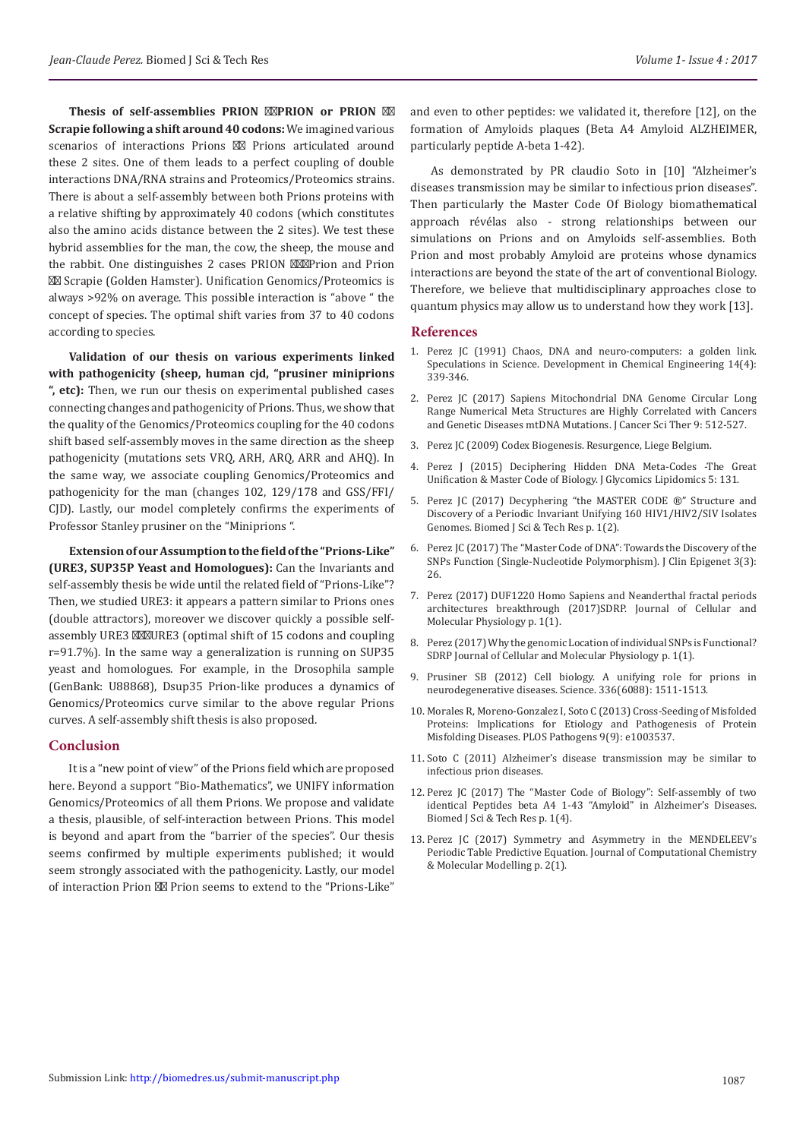**Thesis of self-assemblies PRION PRION or PRION Scrapie following a shift around 40 codons:** We imagined various scenarios of interactions Prions Prions articulated around these 2 sites. One of them leads to a perfect coupling of double interactions DNA/RNA strains and Proteomics/Proteomics strains. There is about a self-assembly between both Prions proteins with a relative shifting by approximately 40 codons (which constitutes also the amino acids distance between the 2 sites). We test these hybrid assemblies for the man, the cow, the sheep, the mouse and the rabbit. One distinguishes 2 cases PRION Prion and Prion

 Scrapie (Golden Hamster). Unification Genomics/Proteomics is always >92% on average. This possible interaction is "above " the concept of species. The optimal shift varies from 37 to 40 codons according to species.

**Validation of our thesis on various experiments linked with pathogenicity (sheep, human cjd, "prusiner miniprions ", etc):** Then, we run our thesis on experimental published cases connecting changes and pathogenicity of Prions. Thus, we show that the quality of the Genomics/Proteomics coupling for the 40 codons shift based self-assembly moves in the same direction as the sheep pathogenicity (mutations sets VRQ, ARH, ARQ, ARR and AHQ). In the same way, we associate coupling Genomics/Proteomics and pathogenicity for the man (changes 102, 129/178 and GSS/FFI/ CJD). Lastly, our model completely confirms the experiments of Professor Stanley prusiner on the "Miniprions ".

**Extension of our Assumption to the field of the "Prions-Like" (URE3, SUP35P Yeast and Homologues):** Can the Invariants and self-assembly thesis be wide until the related field of "Prions-Like"? Then, we studied URE3: it appears a pattern similar to Prions ones (double attractors), moreover we discover quickly a possible selfassembly URE3 URE3 (optimal shift of 15 codons and coupling r=91.7%). In the same way a generalization is running on SUP35 yeast and homologues. For example, in the Drosophila sample (GenBank: U88868), Dsup35 Prion-like produces a dynamics of Genomics/Proteomics curve similar to the above regular Prions curves. A self-assembly shift thesis is also proposed.

#### **Conclusion**

It is a "new point of view" of the Prions field which are proposed here. Beyond a support "Bio-Mathematics", we UNIFY information Genomics/Proteomics of all them Prions. We propose and validate a thesis, plausible, of self-interaction between Prions. This model is beyond and apart from the "barrier of the species". Our thesis seems confirmed by multiple experiments published; it would seem strongly associated with the pathogenicity. Lastly, our model of interaction Prion Prion seems to extend to the "Prions-Like"

and even to other peptides: we validated it, therefore [12], on the formation of Amyloids plaques (Beta A4 Amyloid ALZHEIMER, particularly peptide A-beta 1-42).

As demonstrated by PR claudio Soto in [10] "Alzheimer's diseases transmission may be similar to infectious prion diseases". Then particularly the Master Code Of Biology biomathematical approach révélas also - strong relationships between our simulations on Prions and on Amyloids self-assemblies. Both Prion and most probably Amyloid are proteins whose dynamics interactions are beyond the state of the art of conventional Biology. Therefore, we believe that multidisciplinary approaches close to quantum physics may allow us to understand how they work [13].

#### **References**

- 1. [Perez JC \(1991\) Chaos, DNA and neuro-computers: a golden link.](https://scholar.google.com/scholar_lookup?title=Chaos%2C%20DNA%20and%20neuro-computers%3A%20a%20golden%20link&author=J.-C..%20Perez&journal=Specul.%20Sci.%20Technol.&volume=14&pages=336-346&publication_year=1991) [Speculations in Science. Development in Chemical Engineering 14\(4\):](https://scholar.google.com/scholar_lookup?title=Chaos%2C%20DNA%20and%20neuro-computers%3A%20a%20golden%20link&author=J.-C..%20Perez&journal=Specul.%20Sci.%20Technol.&volume=14&pages=336-346&publication_year=1991) [339-346.](https://scholar.google.com/scholar_lookup?title=Chaos%2C%20DNA%20and%20neuro-computers%3A%20a%20golden%20link&author=J.-C..%20Perez&journal=Specul.%20Sci.%20Technol.&volume=14&pages=336-346&publication_year=1991)
- 2. [Perez JC \(2017\) Sapiens Mitochondrial DNA Genome Circular Long](https://www.omicsonline.org/open-access/sapiens-mitochondrial-dna-genome-circular-long-range-numericalmeta-structures-are-highly-correlated-with-cancers-and-genetic-disea-1948-5956-1000469.php?aid=90737) [Range Numerical Meta Structures are Highly Correlated with Cancers](https://www.omicsonline.org/open-access/sapiens-mitochondrial-dna-genome-circular-long-range-numericalmeta-structures-are-highly-correlated-with-cancers-and-genetic-disea-1948-5956-1000469.php?aid=90737) [and Genetic Diseases mtDNA Mutations. J Cancer Sci Ther 9: 512-527.](https://www.omicsonline.org/open-access/sapiens-mitochondrial-dna-genome-circular-long-range-numericalmeta-structures-are-highly-correlated-with-cancers-and-genetic-disea-1948-5956-1000469.php?aid=90737)
- 3. [Perez JC \(2009\) Codex Biogenesis. Resurgence, Liege Belgium.](https://www.amazon.fr/Codex-)
- 4. [Perez J \(2015\) Deciphering Hidden DNA Meta-Codes -The Great](https://www.omicsonline.org/open-access/decipheringhidden-) [Unification & Master Code of Biology. J Glycomics Lipidomics 5: 131.](https://www.omicsonline.org/open-access/decipheringhidden-)
- 5. [Perez JC \(2017\) Decyphering "the MASTER CODE ®" Structure and](http://biomedres.us/pdfs/BJSTR.MS.ID.000209.pdf) [Discovery of a Periodic Invariant Unifying 160 HIV1/HIV2/SIV Isolates](http://biomedres.us/pdfs/BJSTR.MS.ID.000209.pdf) [Genomes. Biomed J Sci & Tech Res p. 1\(2\).](http://biomedres.us/pdfs/BJSTR.MS.ID.000209.pdf)
- 6. Perez JC (2017) The "Master Code of DNA": Towards the Discovery of the SNPs Function (Single-Nucleotide Polymorphism). J Clin Epigenet 3(3): 26.
- 7. [Perez \(2017\) DUF1220 Homo Sapiens and Neanderthal fractal periods](http://www.siftdesk.org/article-details/DUF1220%20Homo%20Sapiens%20and%20Neanderthal%20%20fractal%20periods%20architectures%20breakthrough/184) [architectures breakthrough \(2017\)SDRP. Journal of Cellular and](http://www.siftdesk.org/article-details/DUF1220%20Homo%20Sapiens%20and%20Neanderthal%20%20fractal%20periods%20architectures%20breakthrough/184) [Molecular Physiology p. 1\(1\).](http://www.siftdesk.org/article-details/DUF1220%20Homo%20Sapiens%20and%20Neanderthal%20%20fractal%20periods%20architectures%20breakthrough/184)
- 8. [Perez \(2017\) Why the genomic Location of individual SNPs is Functional?](http://www.siftdesk.org/article-details/Why-the-genomic-LOCATION-of-individual-SNPs-is-FUNCTIONAL/223) [SDRP Journal of Cellular and Molecular Physiology p. 1\(1\).](http://www.siftdesk.org/article-details/Why-the-genomic-LOCATION-of-individual-SNPs-is-FUNCTIONAL/223)
- 9. [Prusiner SB \(2012\) Cell biology. A unifying role for prions in](https://www.ncbi.nlm.nih.gov/pubmed/22723400) [neurodegenerative diseases. Science. 336\(6088\): 1511-1513.](https://www.ncbi.nlm.nih.gov/pubmed/22723400)
- 10. [Morales R, Moreno-Gonzalez I, Soto C \(2013\) Cross-Seeding of Misfolded](https://doi.org/10.1371/journal.ppat.1003537) [Proteins: Implications for Etiology and Pathogenesis of Protein](https://doi.org/10.1371/journal.ppat.1003537) [Misfolding Diseases. PLOS Pathogens 9\(9\): e1003537.](https://doi.org/10.1371/journal.ppat.1003537)
- 11. Soto C (2011) Alzheimer's disease transmission may be similar to infectious prion diseases.
- 12. Perez JC (2017) The "Master Code of Biology": Self-assembly of two identical Peptides beta A4 1-43 "Amyloid" in Alzheimer's Diseases. Biomed J Sci & Tech Res p. 1(4).
- 13. [Perez JC \(2017\) Symmetry and Asymmetry in the MENDELEEV's](http://www.siftdesk.org/article-details/Symmetry%20and%20Asymmetry%20in%20the%20MENDELEEV%E2%80%99s%20Periodic%20Table%20Predictive%20EQUATION/224) [Periodic Table Predictive Equation. Journal of Computational Chemistry](http://www.siftdesk.org/article-details/Symmetry%20and%20Asymmetry%20in%20the%20MENDELEEV%E2%80%99s%20Periodic%20Table%20Predictive%20EQUATION/224) [& Molecular Modelling p. 2\(1\).](http://www.siftdesk.org/article-details/Symmetry%20and%20Asymmetry%20in%20the%20MENDELEEV%E2%80%99s%20Periodic%20Table%20Predictive%20EQUATION/224)